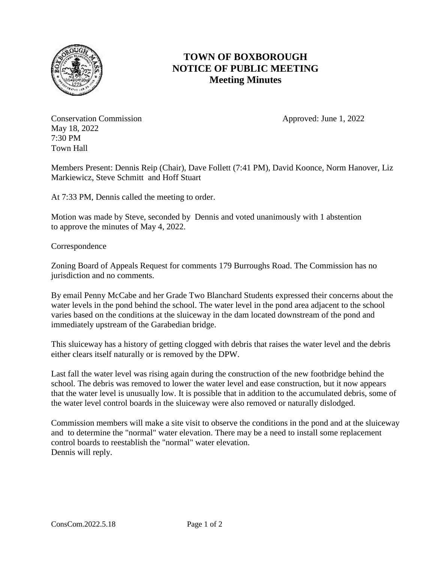

## **TOWN OF BOXBOROUGH NOTICE OF PUBLIC MEETING Meeting Minutes**

Conservation Commission **Approved:** June 1, 2022 May 18, 2022 7:30 PM Town Hall

Members Present: Dennis Reip (Chair), Dave Follett (7:41 PM), David Koonce, Norm Hanover, Liz Markiewicz, Steve Schmitt and Hoff Stuart

At 7:33 PM, Dennis called the meeting to order.

Motion was made by Steve, seconded by Dennis and voted unanimously with 1 abstention to approve the minutes of May 4, 2022.

Correspondence

Zoning Board of Appeals Request for comments 179 Burroughs Road. The Commission has no jurisdiction and no comments.

By email Penny McCabe and her Grade Two Blanchard Students expressed their concerns about the water levels in the pond behind the school. The water level in the pond area adjacent to the school varies based on the conditions at the sluiceway in the dam located downstream of the pond and immediately upstream of the Garabedian bridge.

This sluiceway has a history of getting clogged with debris that raises the water level and the debris either clears itself naturally or is removed by the DPW.

Last fall the water level was rising again during the construction of the new footbridge behind the school. The debris was removed to lower the water level and ease construction, but it now appears that the water level is unusually low. It is possible that in addition to the accumulated debris, some of the water level control boards in the sluiceway were also removed or naturally dislodged.

Commission members will make a site visit to observe the conditions in the pond and at the sluiceway and to determine the "normal" water elevation. There may be a need to install some replacement control boards to reestablish the "normal" water elevation. Dennis will reply.